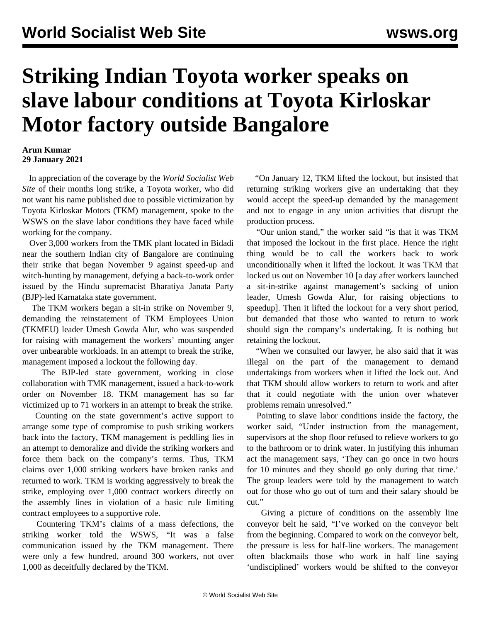## **Striking Indian Toyota worker speaks on slave labour conditions at Toyota Kirloskar Motor factory outside Bangalore**

## **Arun Kumar 29 January 2021**

 In appreciation of the coverage by the *World Socialist Web Site* of their months long strike, a Toyota worker, who did not want his name published due to possible victimization by Toyota Kirloskar Motors (TKM) management, spoke to the WSWS on the slave labor conditions they have faced while working for the company.

 Over 3,000 workers from the TMK plant located in Bidadi near the southern Indian city of Bangalore are continuing their strike that began November 9 against speed-up and witch-hunting by management, defying a back-to-work order issued by the Hindu supremacist Bharatiya Janata Party (BJP)-led Karnataka state government.

 The TKM workers began a sit-in strike on November 9, demanding the reinstatement of TKM Employees Union (TKMEU) leader Umesh Gowda Alur, who was suspended for raising with management the workers' mounting anger over unbearable workloads. In an attempt to break the strike, management imposed a lockout the following day.

 The BJP-led state government, working in close collaboration with TMK management, issued a back-to-work order on November 18. TKM management has so far victimized up to 71 workers in an attempt to break the strike.

 Counting on the state government's active support to arrange some type of compromise to push striking workers back into the factory, TKM management is peddling lies in an attempt to demoralize and divide the striking workers and force them back on the company's terms. Thus, TKM claims over 1,000 striking workers have broken ranks and returned to work. TKM is working aggressively to break the strike, employing over 1,000 contract workers directly on the assembly lines in violation of a basic rule limiting contract employees to a supportive role.

 Countering TKM's claims of a mass defections, the striking worker told the WSWS, "It was a false communication issued by the TKM management. There were only a few hundred, around 300 workers, not over 1,000 as deceitfully declared by the TKM.

 "On January 12, TKM lifted the lockout, but insisted that returning striking workers give an undertaking that they would accept the speed-up demanded by the management and not to engage in any union activities that disrupt the production process.

 "Our union stand," the worker said "is that it was TKM that imposed the lockout in the first place. Hence the right thing would be to call the workers back to work unconditionally when it lifted the lockout. It was TKM that locked us out on November 10 [a day after workers launched a sit-in-strike against management's sacking of union leader, Umesh Gowda Alur, for raising objections to speedup]. Then it lifted the lockout for a very short period, but demanded that those who wanted to return to work should sign the company's undertaking. It is nothing but retaining the lockout.

 "When we consulted our lawyer, he also said that it was illegal on the part of the management to demand undertakings from workers when it lifted the lock out. And that TKM should allow workers to return to work and after that it could negotiate with the union over whatever problems remain unresolved."

 Pointing to slave labor conditions inside the factory, the worker said, "Under instruction from the management, supervisors at the shop floor refused to relieve workers to go to the bathroom or to drink water. In justifying this inhuman act the management says, 'They can go once in two hours for 10 minutes and they should go only during that time.' The group leaders were told by the management to watch out for those who go out of turn and their salary should be cut."

 Giving a picture of conditions on the assembly line conveyor belt he said, "I've worked on the conveyor belt from the beginning. Compared to work on the conveyor belt, the pressure is less for half-line workers. The management often blackmails those who work in half line saying 'undisciplined' workers would be shifted to the conveyor